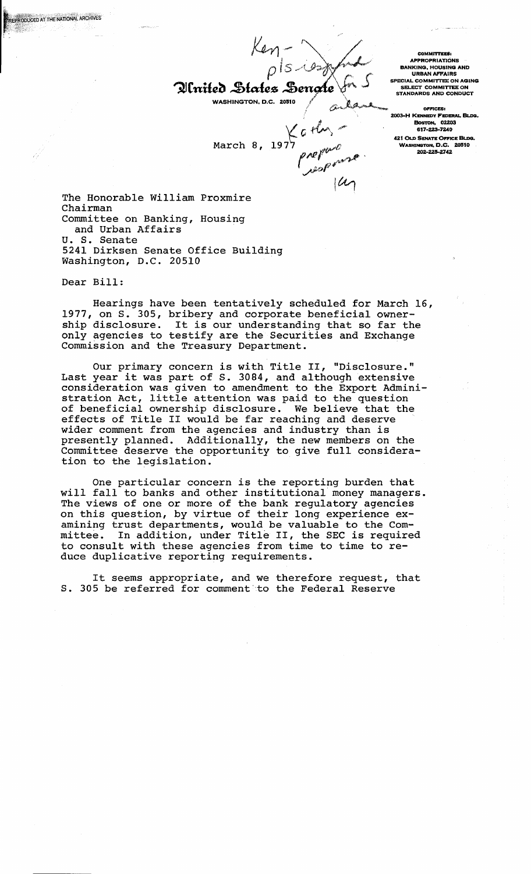$rac{Kan-}{\rho}$ 

Plnited States Sengte  $\mathcal{L}$ WASHINGTON, D.C. 20510

March 8, 1977  $\rho$  report

COMMITTEES. APPROPRIATIONS BANKING, HOUSING AND URBAN AFFAIRS SPECIAL COMMITTEE ON AGING SELECT COMMITTEE ON STANDARDS AND CONDUCT

 $OFFICES:$ 2003-H KENNEDY FEDERAL BLDG. BoSTON, OZZ03 617-223-7240 421 OLD SENATE OFFICE BLDG. WASHINGTON, D.C. 20510<br>202-225-2742

The Honorable William Proxmire Chairman Committee on Banking, Housing and Urban Affairs U. S. Senate 5241 Dirksen Senate Office Building Washington, D.C. 20510

Dear Bill:

REPRODUCED AT THE NATIONAL ARCHIVES

Hearings have been tentatively scheduled for March 16, 1977, on S. 305, bribery and corporate beneficial ownership disclosure. It is our understanding that so far the only agencies to testify are the Securities and Exchange Commission and the Treasury Department.

Our primary concern is with Title II, "Disclosure." Our primary concern is with Title II, "Disclosure."<br>Last year it was part of S. 3084, and although extensive consideration was given to amendment to the Export Administration Act, little attention was paid to the question of beneficial ownership disclosure. We believe that the effects of Title II would be far reaching and deserve wider comment from the agencies and industry than is presently planned. Additionally, the new members on the Committee deserve the opportunity to give full consideration to the legislation.

One particular concern is the reporting burden that will fall to banks and other institutional money managers. The views of one or more of the bank regulatory agencies on this question, by virtue of their long experience examining trust departments, would be valuable to the Comdmining trust departments, would be variable to the committee. In addition, under Title II, the SEC is required to consult with these agencies from time to time to reduce duplicative reporting requirements.

It seems appropriate, and we therefore request, that S. 305 be referred for comment to the Federal Reserve